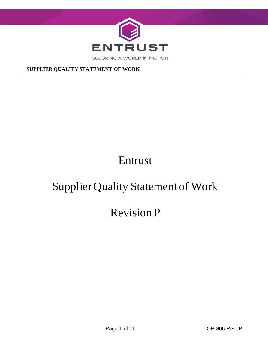

# Entrust

# Supplier Quality Statement of Work

# Revision P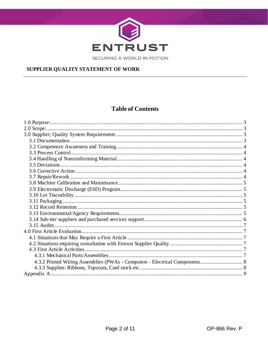

SECURING A WORLD IN MOTION

#### SUPPLIER QUALITY STATEMENT OF WORK

# **Table of Contents**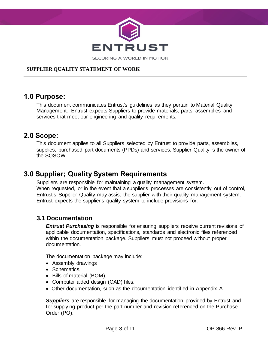

# <span id="page-2-0"></span>**1.0 Purpose:**

This document communicates Entrust's guidelines as they pertain to Material Quality Management. Entrust expects Suppliers to provide materials, parts, assemblies and services that meet our engineering and quality requirements.

# <span id="page-2-1"></span>**2.0 Scope:**

This document applies to all Suppliers selected by Entrust to provide parts, assemblies, supplies, purchased part documents (PPDs) and services. Supplier Quality is the owner of the SQSOW.

# <span id="page-2-2"></span>**3.0 Supplier; Quality System Requirements**

Suppliers are responsible for maintaining a quality management system. When requested, or in the event that a supplier's processes are consistently out of control, Entrust's Supplier Quality may assist the supplier with their quality management system. Entrust expects the supplier's quality system to include provisions for:

### <span id="page-2-3"></span>**3.1 Documentation**

*Entrust Purchasing* is responsible for ensuring suppliers receive current revisions of applicable documentation, specifications, standards and electronic files referenced within the documentation package. Suppliers must not proceed without proper documentation.

The documentation package may include:

- Assembly drawings
- Schematics,
- Bills of material (BOM),
- Computer aided design (CAD) files,
- Other documentation, such as the documentation identified in Appendix A

*Suppliers* are responsible for managing the documentation provided by Entrust and for supplying product per the part number and revision referenced on the Purchase Order (PO).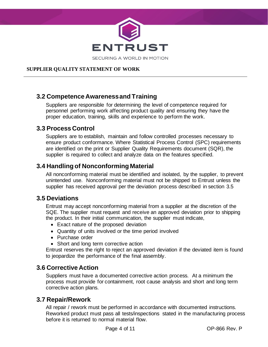

### <span id="page-3-0"></span>**3.2 Competence Awareness and Training**

Suppliers are responsible for determining the level of competence required for personnel performing work affecting product quality and ensuring they have the proper education, training, skills and experience to perform the work.

### <span id="page-3-1"></span>**3.3 Process Control**

Suppliers are to establish, maintain and follow controlled processes necessary to ensure product conformance. Where Statistical Process Control (SPC) requirements are identified on the print or Supplier Quality Requirements document (SQR), the supplier is required to collect and analyze data on the features specified.

# <span id="page-3-2"></span>**3.4 Handling of Nonconforming Material**

All nonconforming material must be identified and isolated, by the supplier, to prevent unintended use. Nonconforming material must not be shipped to Entrust unless the supplier has received approval per the deviation process described in section 3.5

### <span id="page-3-3"></span>**3.5 Deviations**

Entrust may accept nonconforming material from a supplier at the discretion of the SQE. The supplier must request and receive an approved deviation prior to shipping the product. In their initial communication, the supplier must indicate,

- Exact nature of the proposed deviation
- Quantity of units involved or the time period involved
- Purchase order
- Short and long term corrective action

Entrust reserves the right to reject an approved deviation if the deviated item is found to jeopardize the performance of the final assembly.

### <span id="page-3-4"></span>**3.6 Corrective Action**

Suppliers must have a documented corrective action process. At a minimum the process must provide for containment, root cause analysis and short and long term corrective action plans.

### <span id="page-3-5"></span>**3.7 Repair/Rework**

All repair / rework must be performed in accordance with documented instructions. Reworked product must pass all tests/inspections stated in the manufacturing process before it is returned to normal material flow.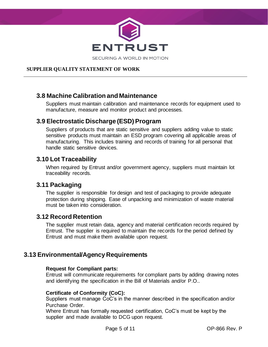

### <span id="page-4-0"></span>**3.8 Machine Calibration and Maintenance**

Suppliers must maintain calibration and maintenance records for equipment used to manufacture, measure and monitor product and processes.

### <span id="page-4-1"></span>**3.9 Electrostatic Discharge (ESD) Program**

Suppliers of products that are static sensitive and suppliers adding value to static sensitive products must maintain an ESD program covering all applicable areas of manufacturing. This includes training and records of training for all personal that handle static sensitive devices.

### <span id="page-4-2"></span>**3.10 Lot Traceability**

When required by Entrust and/or government agency, suppliers must maintain lot traceability records.

### <span id="page-4-3"></span>**3.11 Packaging**

The supplier is responsible for design and test of packaging to provide adequate protection during shipping. Ease of unpacking and minimization of waste material must be taken into consideration.

### <span id="page-4-4"></span>**3.12 Record Retention**

The supplier must retain data, agency and material certification records required by Entrust. The supplier is required to maintain the records for the period defined by Entrust and must make them available upon request.

# <span id="page-4-5"></span>**3.13 Environmental/Agency Requirements**

#### **Request for Compliant parts:**

Entrust will communicate requirements for compliant parts by adding drawing notes and identifying the specification in the Bill of Materials and/or P.O..

#### **Certificate of Conformity (CoC):**

Suppliers must manage CoC's in the manner described in the specification and/or Purchase Order.

Where Entrust has formally requested certification, CoC's must be kept by the supplier and made available to DCG upon request.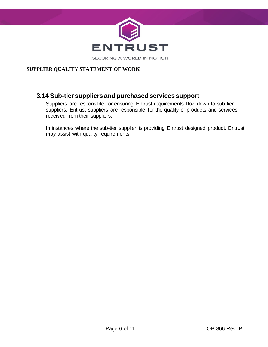

### <span id="page-5-0"></span>**3.14 Sub-tier suppliers and purchased services support**

Suppliers are responsible for ensuring Entrust requirements flow down to sub-tier suppliers. Entrust suppliers are responsible for the quality of products and services received from their suppliers.

In instances where the sub-tier supplier is providing Entrust designed product, Entrust may assist with quality requirements.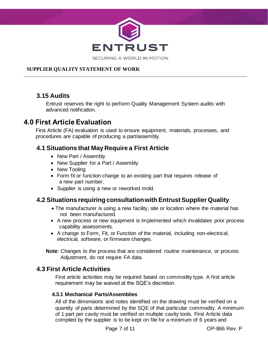

# <span id="page-6-0"></span>**3.15 Audits**

Entrust reserves the right to perform Quality Management System audits with advanced notification.

# <span id="page-6-1"></span>**4.0 First Article Evaluation**

First Article (FA) evaluation is used to ensure equipment, materials, processes, and procedures are capable of producing a part/assembly.

# <span id="page-6-2"></span>**4.1 Situations that May Require a First Article**

- New Part / Assembly
- New Supplier for a Part / Assembly
- New Tooling
- Form fit or function change to an existing part that requires release of a new part number.
- Supplier is using a new or reworked mold.

# <span id="page-6-3"></span>**4.2 Situations requiring consultation with Entrust Supplier Quality**

- The manufacturer is using a new facility, site or location where the material has not been manufactured.
- A new process or new equipment is implemented which invalidates prior process capability assessments.
- A change to Form, Fit, or Function of the material, including non-electrical, electrical, software, or firmware changes.

**Note**: Changes to the process that are considered routine maintenance, or process Adjustment, do not require FA data.

### <span id="page-6-4"></span>**4.3 First Article Activities**

First article activities may be required based on commodity type. A first article requirement may be waived at the SQE's discretion.

#### <span id="page-6-5"></span> **4.3.1 Mechanical Parts/Assemblies**

All of the dimensions and notes identified on the drawing must be verified on a quantity of parts determined by the SQE of that particular commodity. A minimum of 1 part per cavity must be verified on multiple cavity tools. First Article data compiled by the supplier is to be kept on file for a minimum of 6 years and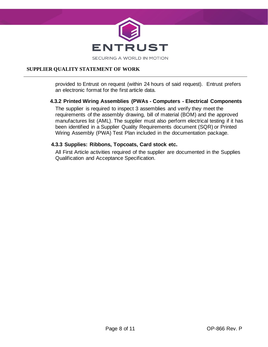

provided to Entrust on request (within 24 hours of said request). Entrust prefers an electronic format for the first article data.

#### <span id="page-7-0"></span> **4.3.2 Printed Wiring Assemblies (PWAs - Computers - Electrical Components**

The supplier is required to inspect 3 assemblies and verify they meet the requirements of the assembly drawing, bill of material (BOM) and the approved manufactures list (AML). The supplier must also perform electrical testing if it has been identified in a Supplier Quality Requirements document (SQR) or Printed Wiring Assembly (PWA) Test Plan included in the documentation package.

#### <span id="page-7-1"></span> **4.3.3 Supplies: Ribbons, Topcoats, Card stock etc.**

All First Article activities required of the supplier are documented in the Supplies Qualification and Acceptance Specification.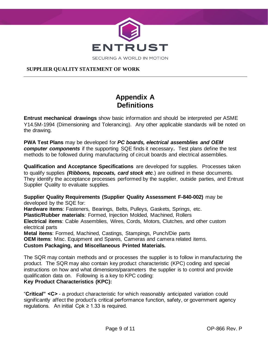

# **Appendix A Definitions**

<span id="page-8-0"></span>**Entrust mechanical drawings** show basic information and should be interpreted per ASME Y14.5M-1994 (Dimensioning and Tolerancing). Any other applicable standards will be noted on the drawing.

**PWA Test Plans** may be developed for *PC boards, electrical assemblies and OEM computer components* if the supporting SQE finds it necessary*.* Test plans define the test methods to be followed during manufacturing of circuit boards and electrical assemblies.

**Qualification and Acceptance Specifications** are developed for supplies. Processes taken to qualify supplies *(Ribbons, topcoats, card stock etc*.) are outlined in these documents. They identify the acceptance processes performed by the supplier, outside parties, and Entrust Supplier Quality to evaluate supplies.

**Supplier Quality Requirements (Supplier Quality Assessment F-840-002)** may be developed by the SQE for: **Hardware items**: Fasteners, Bearings, Belts, Pulleys, Gaskets, Springs, etc. **Plastic/Rubber materials**: Formed, Injection Molded, Machined, Rollers **Electrical items**: Cable Assemblies, Wires, Cords, Motors, Clutches, and other custom electrical parts **Metal items**: Formed, Machined, Castings, Stampings, Punch/Die parts **OEM items**: Misc. Equipment and Spares, Cameras and camera related items. **Custom Packaging, and Miscellaneous Printed Materials***.*

The SQR may contain methods and or processes the supplier is to follow in manufacturing the product. The SQR may also contain key product characteristic (KPC) coding and special instructions on how and what dimensions/parameters the supplier is to control and provide qualification data on. Following is a key to KPC coding: **Key Product Characteristics (KPC):**

"**Critical" <C>** - a product characteristic for which reasonably anticipated variation could significantly affect the product's critical performance function, safety, or government agency regulations. An initial  $Cpk \ge 1.33$  is required.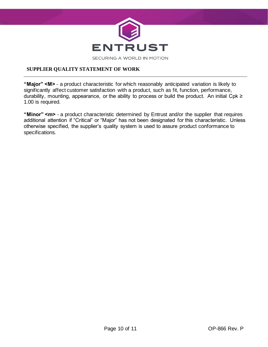

**"Major" <M>** - a product characteristic for which reasonably anticipated variation is likely to significantly affect customer satisfaction with a product, such as fit, function, performance, durability, mounting, appearance, or the ability to process or build the product. An initial Cpk ≥ 1.00 is required.

**"Minor" <m>** - a product characteristic determined by Entrust and/or the supplier that requires additional attention if "Critical" or "Major" has not been designated for this characteristic. Unless otherwise specified, the supplier's quality system is used to assure product conformance to specifications.